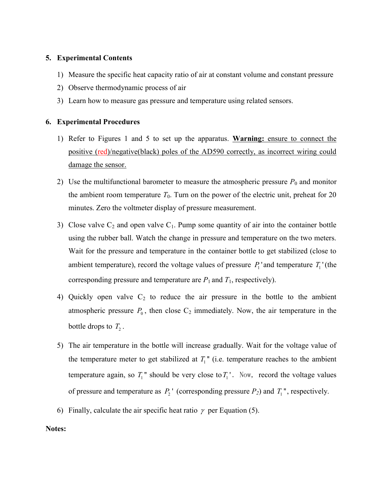## 5. Experimental Contents

- 1) Measure the specific heat capacity ratio of air at constant volume and constant pressure
- 2) Observe thermodynamic process of air
- 3) Learn how to measure gas pressure and temperature using related sensors.

## 6. Experimental Procedures

- 1) Refer to Figures 1 and 5 to set up the apparatus. Warning: ensure to connect the positive (red)/negative(black) poles of the AD590 correctly, as incorrect wiring could damage the sensor.
- 2) Use the multifunctional barometer to measure the atmospheric pressure  $P_0$  and monitor the ambient room temperature  $T_0$ . Turn on the power of the electric unit, preheat for 20 minutes. Zero the voltmeter display of pressure measurement.
- 3) Close valve  $C_2$  and open valve  $C_1$ . Pump some quantity of air into the container bottle using the rubber ball. Watch the change in pressure and temperature on the two meters. Wait for the pressure and temperature in the container bottle to get stabilized (close to ambient temperature), record the voltage values of pressure  $P_1$  and temperature  $T_1$  (the corresponding pressure and temperature are  $P_1$  and  $T_1$ , respectively).
- 4) Quickly open valve  $C_2$  to reduce the air pressure in the bottle to the ambient atmospheric pressure  $P_0$ , then close  $C_2$  immediately. Now, the air temperature in the bottle drops to  $T_2$ .
- 5) The air temperature in the bottle will increase gradually. Wait for the voltage value of the temperature meter to get stabilized at  $T_1$ " (i.e. temperature reaches to the ambient temperature again, so  $T_1$ " should be very close to  $T_1$ '. Now, record the voltage values of pressure and temperature as  $P_2$ <sup>'</sup> (corresponding pressure  $P_2$ ) and  $T_1$ <sup>''</sup>, respectively.
- 6) Finally, calculate the air specific heat ratio  $\gamma$  per Equation (5).

## Notes: